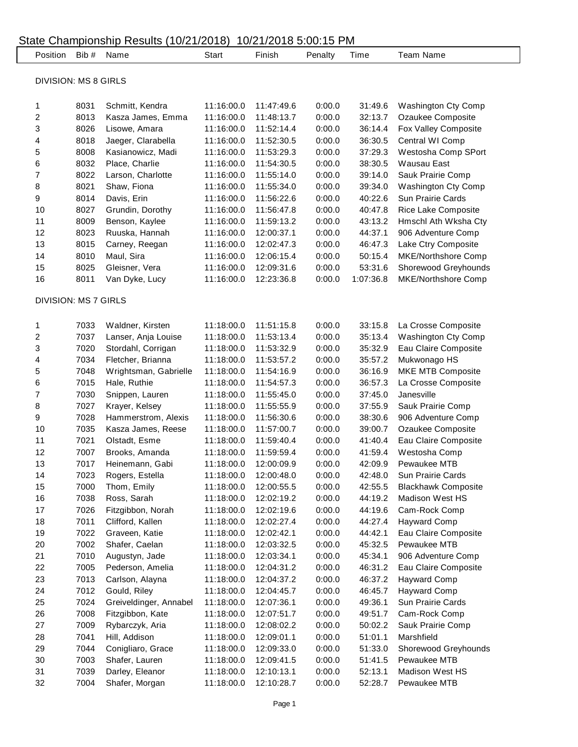| Position                    | Bib # | Name                   | Start      | Finish     | Penalty | Time      | <b>Team Name</b>           |
|-----------------------------|-------|------------------------|------------|------------|---------|-----------|----------------------------|
|                             |       |                        |            |            |         |           |                            |
| <b>DIVISION: MS 8 GIRLS</b> |       |                        |            |            |         |           |                            |
| 1                           | 8031  | Schmitt, Kendra        | 11:16:00.0 | 11:47:49.6 | 0:00.0  | 31:49.6   | Washington Cty Comp        |
| $\overline{\mathbf{c}}$     | 8013  | Kasza James, Emma      | 11:16:00.0 | 11:48:13.7 | 0:00.0  | 32:13.7   | Ozaukee Composite          |
| 3                           | 8026  | Lisowe, Amara          | 11:16:00.0 | 11:52:14.4 | 0:00.0  | 36:14.4   | Fox Valley Composite       |
| 4                           | 8018  | Jaeger, Clarabella     | 11:16:00.0 | 11:52:30.5 | 0:00.0  | 36:30.5   | Central WI Comp            |
| 5                           | 8008  | Kasianowicz, Madi      | 11:16:00.0 | 11:53:29.3 | 0:00.0  | 37:29.3   | Westosha Comp SPort        |
| 6                           | 8032  | Place, Charlie         | 11:16:00.0 | 11:54:30.5 | 0:00.0  | 38:30.5   | Wausau East                |
| 7                           | 8022  | Larson, Charlotte      | 11:16:00.0 | 11:55:14.0 | 0:00.0  | 39:14.0   | Sauk Prairie Comp          |
| 8                           | 8021  | Shaw, Fiona            | 11:16:00.0 | 11:55:34.0 | 0:00.0  | 39:34.0   | Washington Cty Comp        |
| 9                           | 8014  | Davis, Erin            | 11:16:00.0 | 11:56:22.6 | 0:00.0  | 40:22.6   | Sun Prairie Cards          |
| 10                          | 8027  | Grundin, Dorothy       | 11:16:00.0 | 11:56:47.8 | 0:00.0  | 40:47.8   | Rice Lake Composite        |
| 11                          | 8009  | Benson, Kaylee         | 11:16:00.0 | 11:59:13.2 | 0:00.0  | 43:13.2   | Hmschl Ath Wksha Cty       |
| 12                          | 8023  | Ruuska, Hannah         | 11:16:00.0 | 12:00:37.1 | 0:00.0  | 44:37.1   | 906 Adventure Comp         |
| 13                          | 8015  | Carney, Reegan         | 11:16:00.0 | 12:02:47.3 | 0:00.0  | 46:47.3   | Lake Ctry Composite        |
| 14                          | 8010  | Maul, Sira             | 11:16:00.0 | 12:06:15.4 | 0:00.0  | 50:15.4   | MKE/Northshore Comp        |
| 15                          | 8025  | Gleisner, Vera         | 11:16:00.0 | 12:09:31.6 | 0:00.0  | 53:31.6   | Shorewood Greyhounds       |
| 16                          | 8011  | Van Dyke, Lucy         | 11:16:00.0 | 12:23:36.8 | 0:00.0  | 1:07:36.8 | MKE/Northshore Comp        |
| <b>DIVISION: MS 7 GIRLS</b> |       |                        |            |            |         |           |                            |
| 1                           | 7033  | Waldner, Kirsten       | 11:18:00.0 | 11:51:15.8 | 0:00.0  | 33:15.8   | La Crosse Composite        |
| $\overline{\mathbf{c}}$     | 7037  | Lanser, Anja Louise    | 11:18:00.0 | 11:53:13.4 | 0:00.0  | 35:13.4   | Washington Cty Comp        |
| 3                           | 7020  | Stordahl, Corrigan     | 11:18:00.0 | 11:53:32.9 | 0:00.0  | 35:32.9   | Eau Claire Composite       |
| 4                           | 7034  | Fletcher, Brianna      | 11:18:00.0 | 11:53:57.2 | 0:00.0  | 35:57.2   | Mukwonago HS               |
| 5                           | 7048  | Wrightsman, Gabrielle  | 11:18:00.0 | 11:54:16.9 | 0:00.0  | 36:16.9   | MKE MTB Composite          |
| 6                           | 7015  | Hale, Ruthie           | 11:18:00.0 | 11:54:57.3 | 0:00.0  | 36:57.3   | La Crosse Composite        |
| $\overline{7}$              | 7030  | Snippen, Lauren        | 11:18:00.0 | 11:55:45.0 | 0:00.0  | 37:45.0   | Janesville                 |
| 8                           | 7027  | Krayer, Kelsey         | 11:18:00.0 | 11:55:55.9 | 0:00.0  | 37:55.9   | Sauk Prairie Comp          |
| 9                           | 7028  | Hammerstrom, Alexis    | 11:18:00.0 | 11:56:30.6 | 0:00.0  | 38:30.6   | 906 Adventure Comp         |
| 10                          | 7035  | Kasza James, Reese     | 11:18:00.0 | 11:57:00.7 | 0:00.0  | 39:00.7   | Ozaukee Composite          |
| 11                          | 7021  | Olstadt, Esme          | 11:18:00.0 | 11:59:40.4 | 0:00.0  | 41:40.4   | Eau Claire Composite       |
| 12                          | 7007  | Brooks, Amanda         | 11:18:00.0 | 11:59:59.4 | 0:00.0  | 41:59.4   | Westosha Comp              |
| 13                          | 7017  | Heinemann, Gabi        | 11:18:00.0 | 12:00:09.9 | 0:00.0  | 42:09.9   | Pewaukee MTB               |
| 14                          | 7023  | Rogers, Estella        | 11:18:00.0 | 12:00:48.0 | 0:00.0  | 42:48.0   | Sun Prairie Cards          |
| 15                          | 7000  | Thom, Emily            | 11:18:00.0 | 12:00:55.5 | 0:00.0  | 42:55.5   | <b>Blackhawk Composite</b> |
| 16                          | 7038  | Ross, Sarah            | 11:18:00.0 | 12:02:19.2 | 0:00.0  | 44:19.2   | <b>Madison West HS</b>     |
| 17                          | 7026  | Fitzgibbon, Norah      | 11:18:00.0 | 12:02:19.6 | 0:00.0  | 44:19.6   | Cam-Rock Comp              |
| 18                          | 7011  | Clifford, Kallen       | 11:18:00.0 | 12:02:27.4 | 0:00.0  | 44:27.4   | <b>Hayward Comp</b>        |
| 19                          | 7022  | Graveen, Katie         | 11:18:00.0 | 12:02:42.1 | 0:00.0  | 44:42.1   | Eau Claire Composite       |
| 20                          | 7002  | Shafer, Caelan         | 11:18:00.0 | 12:03:32.5 | 0:00.0  | 45:32.5   | Pewaukee MTB               |
| 21                          | 7010  | Augustyn, Jade         | 11:18:00.0 | 12:03:34.1 | 0:00.0  | 45:34.1   | 906 Adventure Comp         |
| 22                          | 7005  | Pederson, Amelia       | 11:18:00.0 | 12:04:31.2 | 0:00.0  | 46:31.2   | Eau Claire Composite       |
| 23                          | 7013  | Carlson, Alayna        | 11:18:00.0 | 12:04:37.2 | 0:00.0  | 46:37.2   | <b>Hayward Comp</b>        |
| 24                          | 7012  | Gould, Riley           | 11:18:00.0 | 12:04:45.7 | 0:00.0  | 46:45.7   | <b>Hayward Comp</b>        |
| 25                          | 7024  | Greiveldinger, Annabel | 11:18:00.0 | 12:07:36.1 | 0:00.0  | 49:36.1   | Sun Prairie Cards          |
| 26                          | 7008  | Fitzgibbon, Kate       | 11:18:00.0 | 12:07:51.7 | 0:00.0  | 49:51.7   | Cam-Rock Comp              |
| 27                          | 7009  | Rybarczyk, Aria        | 11:18:00.0 | 12:08:02.2 | 0:00.0  | 50:02.2   | Sauk Prairie Comp          |
| 28                          | 7041  | Hill, Addison          | 11:18:00.0 | 12:09:01.1 | 0:00.0  | 51:01.1   | Marshfield                 |
| 29                          | 7044  | Conigliaro, Grace      | 11:18:00.0 | 12:09:33.0 | 0:00.0  | 51:33.0   | Shorewood Greyhounds       |
| 30                          | 7003  | Shafer, Lauren         | 11:18:00.0 | 12:09:41.5 | 0:00.0  | 51:41.5   | Pewaukee MTB               |
| 31                          | 7039  | Darley, Eleanor        | 11:18:00.0 | 12:10:13.1 | 0:00.0  | 52:13.1   | Madison West HS            |
| 32                          | 7004  | Shafer, Morgan         | 11:18:00.0 | 12:10:28.7 | 0:00.0  | 52:28.7   | Pewaukee MTB               |